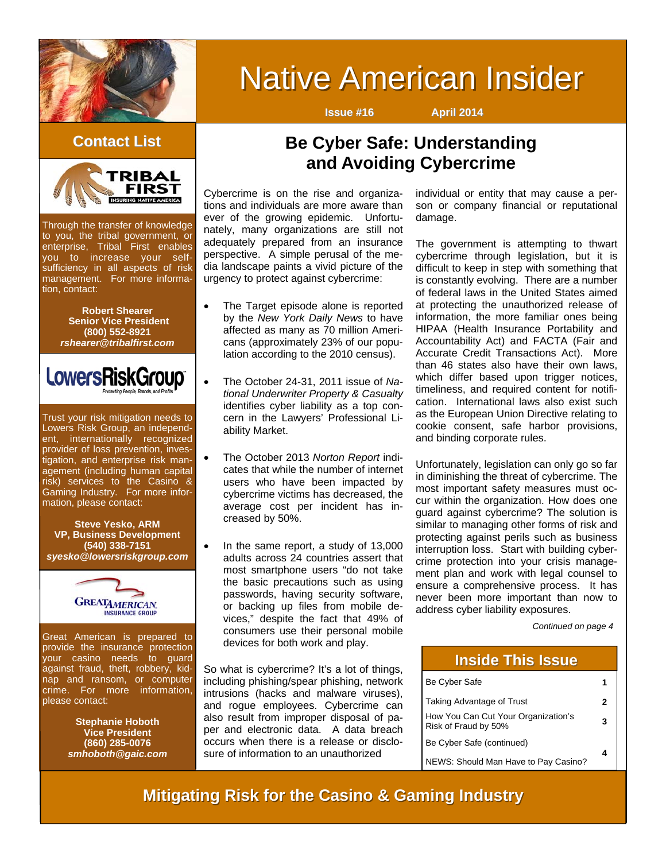

# **Native American Insider**

**Issue #16 April 2014**

#### **Contact List Contact List**



Through the transfer of knowledge to you, the tribal government, or enterprise, Tribal First enables you to increase your selfsufficiency in all aspects of risk management. For more information, contact:

> **Robert Shearer Senior Vice President (800) 552-8921**  *rshearer@tribalfirst.com*



Trust your risk mitigation needs to Lowers Risk Group, an independent, internationally recognized provider of loss prevention, investigation, and enterprise risk management (including human capital risk) services to the Casino & Gaming Industry. For more information, please contact:

**Steve Yesko, ARM VP, Business Development (540) 338-7151**  *syesko@lowersriskgroup.com* 



Great American is prepared to provide the insurance protection your casino needs to guard against fraud, theft, robbery, kidnap and ransom, or computer crime. For more information, please contact:

> **Stephanie Hoboth Vice President (860) 285-0076**  *smhoboth@gaic.com*

# **Be Cyber Safe: Understanding and Avoiding Cybercrime**

Cybercrime is on the rise and organizations and individuals are more aware than ever of the growing epidemic. Unfortunately, many organizations are still not adequately prepared from an insurance perspective. A simple perusal of the media landscape paints a vivid picture of the urgency to protect against cybercrime:

- The Target episode alone is reported by the *New York Daily News* to have affected as many as 70 million Americans (approximately 23% of our population according to the 2010 census).
	- The October 24-31, 2011 issue of *National Underwriter Property & Casualty*  identifies cyber liability as a top concern in the Lawyers' Professional Liability Market.
	- The October 2013 *Norton Report* indicates that while the number of internet users who have been impacted by cybercrime victims has decreased, the average cost per incident has increased by 50%.
	- In the same report, a study of 13,000 adults across 24 countries assert that most smartphone users "do not take the basic precautions such as using passwords, having security software, or backing up files from mobile devices," despite the fact that 49% of consumers use their personal mobile devices for both work and play.

So what is cybercrime? It's a lot of things, including phishing/spear phishing, network intrusions (hacks and malware viruses), and rogue employees. Cybercrime can also result from improper disposal of paper and electronic data. A data breach occurs when there is a release or disclosure of information to an unauthorized

individual or entity that may cause a person or company financial or reputational damage.

The government is attempting to thwart cybercrime through legislation, but it is difficult to keep in step with something that is constantly evolving. There are a number of federal laws in the United States aimed at protecting the unauthorized release of information, the more familiar ones being HIPAA (Health Insurance Portability and Accountability Act) and FACTA (Fair and Accurate Credit Transactions Act). More than 46 states also have their own laws, which differ based upon trigger notices, timeliness, and required content for notification. International laws also exist such as the European Union Directive relating to cookie consent, safe harbor provisions, and binding corporate rules.

Unfortunately, legislation can only go so far in diminishing the threat of cybercrime. The most important safety measures must occur within the organization. How does one guard against cybercrime? The solution is similar to managing other forms of risk and protecting against perils such as business interruption loss. Start with building cybercrime protection into your crisis management plan and work with legal counsel to ensure a comprehensive process. It has never been more important than now to address cyber liability exposures.

*Continued on page 4* 

#### **Inside This Issue Inside This Issue**

| Be Cyber Safe                                               |   |
|-------------------------------------------------------------|---|
| Taking Advantage of Trust                                   | 2 |
| How You Can Cut Your Organization's<br>Risk of Fraud by 50% | 3 |
| Be Cyber Safe (continued)                                   |   |
| NEWS: Should Man Have to Pay Casino?                        |   |

## **Mitigating Risk for the Casino & Gaming Industry**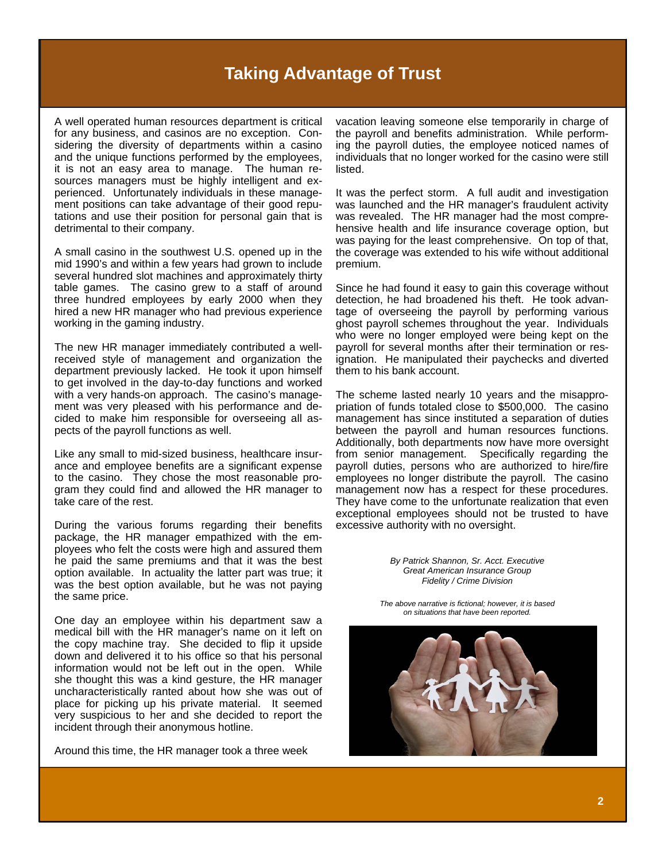# **Taking Advantage of Trust**

A well operated human resources department is critical for any business, and casinos are no exception. Considering the diversity of departments within a casino and the unique functions performed by the employees, it is not an easy area to manage. The human resources managers must be highly intelligent and experienced. Unfortunately individuals in these management positions can take advantage of their good reputations and use their position for personal gain that is detrimental to their company.

A small casino in the southwest U.S. opened up in the mid 1990's and within a few years had grown to include several hundred slot machines and approximately thirty table games. The casino grew to a staff of around three hundred employees by early 2000 when they hired a new HR manager who had previous experience working in the gaming industry.

The new HR manager immediately contributed a wellreceived style of management and organization the department previously lacked. He took it upon himself to get involved in the day-to-day functions and worked with a very hands-on approach. The casino's management was very pleased with his performance and decided to make him responsible for overseeing all aspects of the payroll functions as well.

Like any small to mid-sized business, healthcare insurance and employee benefits are a significant expense to the casino. They chose the most reasonable program they could find and allowed the HR manager to take care of the rest.

During the various forums regarding their benefits package, the HR manager empathized with the employees who felt the costs were high and assured them he paid the same premiums and that it was the best option available. In actuality the latter part was true; it was the best option available, but he was not paying the same price.

One day an employee within his department saw a medical bill with the HR manager's name on it left on the copy machine tray. She decided to flip it upside down and delivered it to his office so that his personal information would not be left out in the open. While she thought this was a kind gesture, the HR manager uncharacteristically ranted about how she was out of place for picking up his private material. It seemed very suspicious to her and she decided to report the incident through their anonymous hotline.

Around this time, the HR manager took a three week

vacation leaving someone else temporarily in charge of the payroll and benefits administration. While performing the payroll duties, the employee noticed names of individuals that no longer worked for the casino were still listed.

It was the perfect storm. A full audit and investigation was launched and the HR manager's fraudulent activity was revealed. The HR manager had the most comprehensive health and life insurance coverage option, but was paying for the least comprehensive. On top of that, the coverage was extended to his wife without additional premium.

Since he had found it easy to gain this coverage without detection, he had broadened his theft. He took advantage of overseeing the payroll by performing various ghost payroll schemes throughout the year. Individuals who were no longer employed were being kept on the payroll for several months after their termination or resignation. He manipulated their paychecks and diverted them to his bank account.

The scheme lasted nearly 10 years and the misappropriation of funds totaled close to \$500,000. The casino management has since instituted a separation of duties between the payroll and human resources functions. Additionally, both departments now have more oversight from senior management. Specifically regarding the payroll duties, persons who are authorized to hire/fire employees no longer distribute the payroll. The casino management now has a respect for these procedures. They have come to the unfortunate realization that even exceptional employees should not be trusted to have excessive authority with no oversight.

> *By Patrick Shannon, Sr. Acct. Executive Great American Insurance Group Fidelity / Crime Division*

*The above narrative is fictional; however, it is based on situations that have been reported.* 

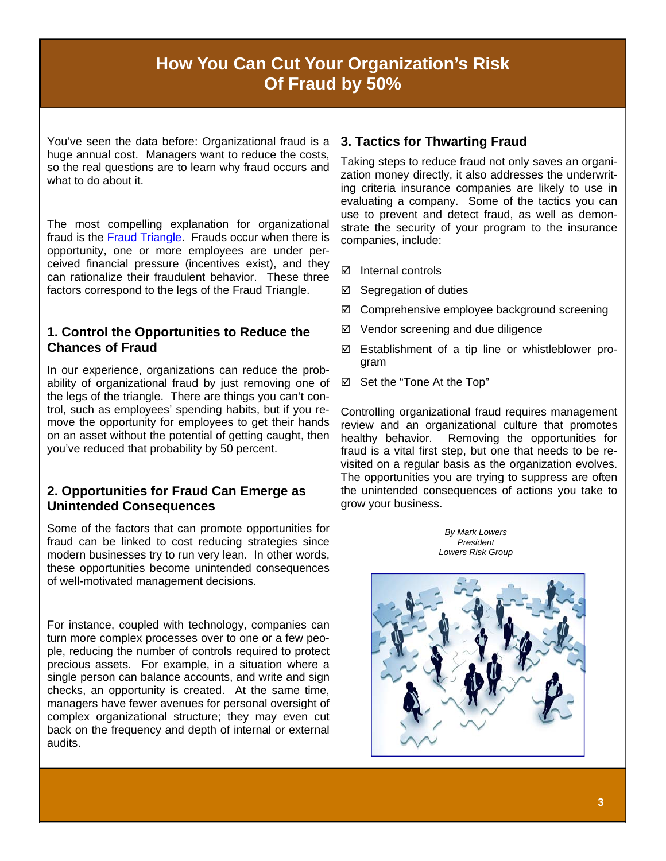# **How You Can Cut Your Organization's Risk Of Fraud by 50%**

You've seen the data before: Organizational fraud is a huge annual cost. Managers want to reduce the costs, so the real questions are to learn why fraud occurs and what to do about it.

The most compelling explanation for organizational fraud is the [Fraud Triangle.](http://www.lowersriskgroup.com/files/LRG-Fraud-Triangle-FINAL.jpg) Frauds occur when there is opportunity, one or more employees are under perceived financial pressure (incentives exist), and they can rationalize their fraudulent behavior. These three factors correspond to the legs of the Fraud Triangle.

#### **1. Control the Opportunities to Reduce the Chances of Fraud**

In our experience, organizations can reduce the probability of organizational fraud by just removing one of the legs of the triangle. There are things you can't control, such as employees' spending habits, but if you remove the opportunity for employees to get their hands on an asset without the potential of getting caught, then you've reduced that probability by 50 percent.

#### **2. Opportunities for Fraud Can Emerge as Unintended Consequences**

Some of the factors that can promote opportunities for fraud can be linked to cost reducing strategies since modern businesses try to run very lean. In other words, these opportunities become unintended consequences of well-motivated management decisions.

For instance, coupled with technology, companies can turn more complex processes over to one or a few people, reducing the number of controls required to protect precious assets. For example, in a situation where a single person can balance accounts, and write and sign checks, an opportunity is created. At the same time, managers have fewer avenues for personal oversight of complex organizational structure; they may even cut back on the frequency and depth of internal or external audits.

#### **3. Tactics for Thwarting Fraud**

Taking steps to reduce fraud not only saves an organization money directly, it also addresses the underwriting criteria insurance companies are likely to use in evaluating a company. Some of the tactics you can use to prevent and detect fraud, as well as demonstrate the security of your program to the insurance companies, include:

- $\boxtimes$  Internal controls
- Segregation of duties
- Comprehensive employee background screening
- $\boxtimes$  Vendor screening and due diligence
- $\boxtimes$  Establishment of a tip line or whistleblower program
- Set the "Tone At the Top"

Controlling organizational fraud requires management review and an organizational culture that promotes healthy behavior. Removing the opportunities for fraud is a vital first step, but one that needs to be revisited on a regular basis as the organization evolves. The opportunities you are trying to suppress are often the unintended consequences of actions you take to grow your business.

> *By Mark Lowers [President](http://www.lowersriskgroup.com/news/index.php?id=11) Lowers Risk Group*